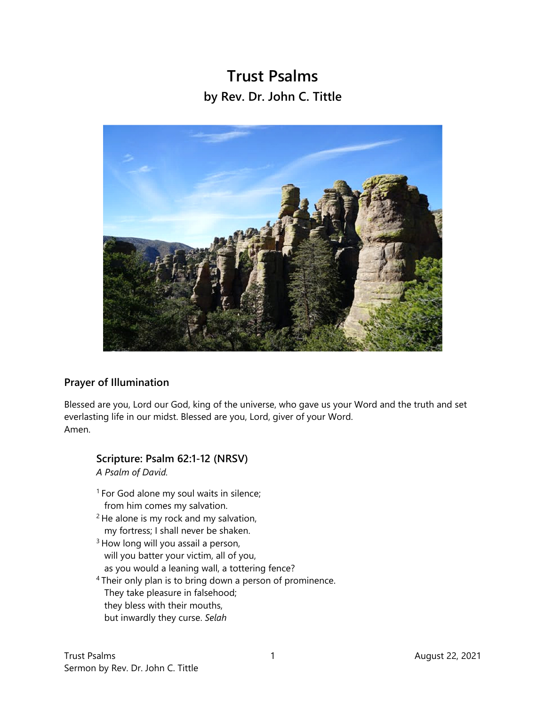## **Trust Psalms by Rev. Dr. John C. Tittle**



## **Prayer of Illumination**

Blessed are you, Lord our God, king of the universe, who gave us your Word and the truth and set everlasting life in our midst. Blessed are you, Lord, giver of your Word. Amen.

## **Scripture: Psalm 62:1-12 (NRSV)**  *A Psalm of David.*

- <sup>1</sup> For God alone my soul waits in silence; from him comes my salvation.
- $2$  He alone is my rock and my salvation, my fortress; I shall never be shaken.
- <sup>3</sup> How long will you assail a person, will you batter your victim, all of you, as you would a leaning wall, a tottering fence?
- 4 Their only plan is to bring down a person of prominence. They take pleasure in falsehood; they bless with their mouths, but inwardly they curse. *Selah*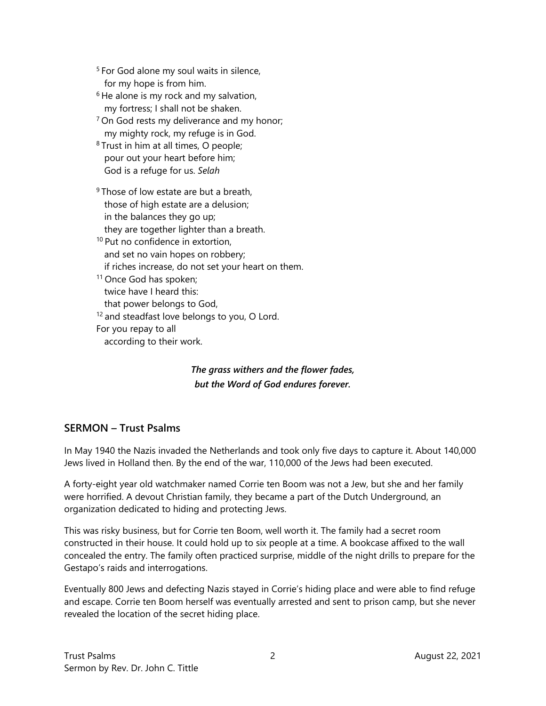<sup>5</sup> For God alone my soul waits in silence, for my hope is from him.

- $6$  He alone is my rock and my salvation, my fortress; I shall not be shaken.
- $7$  On God rests my deliverance and my honor; my mighty rock, my refuge is in God.
- <sup>8</sup> Trust in him at all times, O people; pour out your heart before him; God is a refuge for us. *Selah*
- <sup>9</sup> Those of low estate are but a breath, those of high estate are a delusion; in the balances they go up; they are together lighter than a breath.
- 10 Put no confidence in extortion, and set no vain hopes on robbery; if riches increase, do not set your heart on them.
- <sup>11</sup> Once God has spoken; twice have I heard this: that power belongs to God, <sup>12</sup> and steadfast love belongs to you, O Lord. For you repay to all according to their work.

*The grass withers and the flower fades, but the Word of God endures forever.* 

## **SERMON – Trust Psalms**

In May 1940 the Nazis invaded the Netherlands and took only five days to capture it. About 140,000 Jews lived in Holland then. By the end of the war, 110,000 of the Jews had been executed.

A forty-eight year old watchmaker named Corrie ten Boom was not a Jew, but she and her family were horrified. A devout Christian family, they became a part of the Dutch Underground, an organization dedicated to hiding and protecting Jews.

This was risky business, but for Corrie ten Boom, well worth it. The family had a secret room constructed in their house. It could hold up to six people at a time. A bookcase affixed to the wall concealed the entry. The family often practiced surprise, middle of the night drills to prepare for the Gestapo's raids and interrogations.

Eventually 800 Jews and defecting Nazis stayed in Corrie's hiding place and were able to find refuge and escape. Corrie ten Boom herself was eventually arrested and sent to prison camp, but she never revealed the location of the secret hiding place.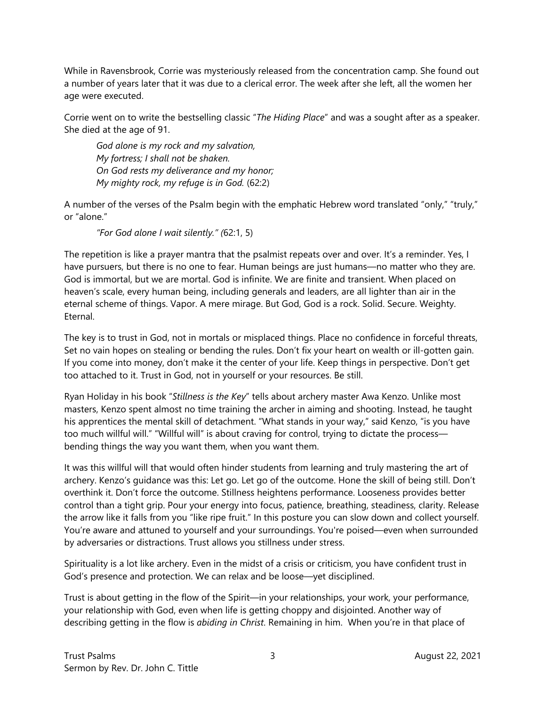While in Ravensbrook, Corrie was mysteriously released from the concentration camp. She found out a number of years later that it was due to a clerical error. The week after she left, all the women her age were executed.

Corrie went on to write the bestselling classic "*The Hiding Place*" and was a sought after as a speaker. She died at the age of 91.

*God alone is my rock and my salvation, My fortress; I shall not be shaken. On God rests my deliverance and my honor; My mighty rock, my refuge is in God.* (62:2)

A number of the verses of the Psalm begin with the emphatic Hebrew word translated "only," "truly," or "alone."

*"For God alone I wait silently." (*62:1, 5)

The repetition is like a prayer mantra that the psalmist repeats over and over. It's a reminder. Yes, I have pursuers, but there is no one to fear. Human beings are just humans—no matter who they are. God is immortal, but we are mortal. God is infinite. We are finite and transient. When placed on heaven's scale, every human being, including generals and leaders, are all lighter than air in the eternal scheme of things. Vapor. A mere mirage. But God, God is a rock. Solid. Secure. Weighty. Eternal.

The key is to trust in God, not in mortals or misplaced things. Place no confidence in forceful threats, Set no vain hopes on stealing or bending the rules. Don't fix your heart on wealth or ill-gotten gain. If you come into money, don't make it the center of your life. Keep things in perspective. Don't get too attached to it. Trust in God, not in yourself or your resources. Be still.

Ryan Holiday in his book "*Stillness is the Key*" tells about archery master Awa Kenzo. Unlike most masters, Kenzo spent almost no time training the archer in aiming and shooting. Instead, he taught his apprentices the mental skill of detachment. "What stands in your way," said Kenzo, "is you have too much willful will." "Willful will" is about craving for control, trying to dictate the process bending things the way you want them, when you want them.

It was this willful will that would often hinder students from learning and truly mastering the art of archery. Kenzo's guidance was this: Let go. Let go of the outcome. Hone the skill of being still. Don't overthink it. Don't force the outcome. Stillness heightens performance. Looseness provides better control than a tight grip. Pour your energy into focus, patience, breathing, steadiness, clarity. Release the arrow like it falls from you "like ripe fruit." In this posture you can slow down and collect yourself. You're aware and attuned to yourself and your surroundings. You're poised—even when surrounded by adversaries or distractions. Trust allows you stillness under stress.

Spirituality is a lot like archery. Even in the midst of a crisis or criticism, you have confident trust in God's presence and protection. We can relax and be loose—yet disciplined.

Trust is about getting in the flow of the Spirit—in your relationships, your work, your performance, your relationship with God, even when life is getting choppy and disjointed. Another way of describing getting in the flow is *abiding in Christ*. Remaining in him. When you're in that place of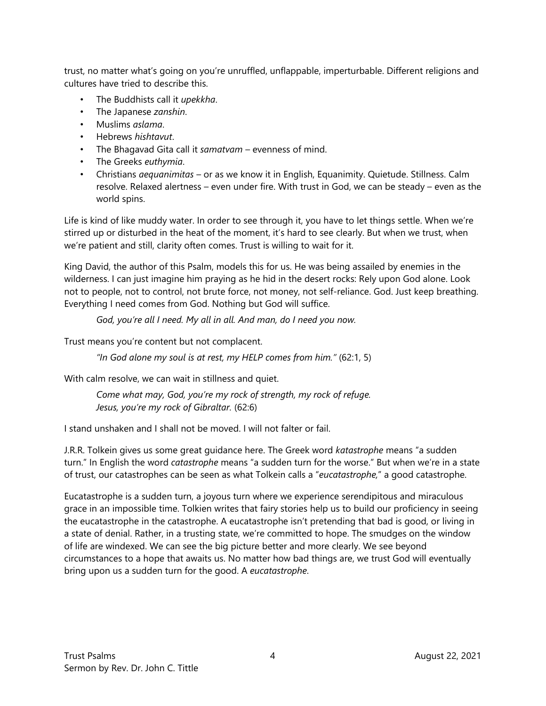trust, no matter what's going on you're unruffled, unflappable, imperturbable. Different religions and cultures have tried to describe this.

- The Buddhists call it *upekkha*.
- The Japanese *zanshin*.
- Muslims *aslama*.
- Hebrews *hishtavut*.
- The Bhagavad Gita call it *samatvam*  evenness of mind.
- The Greeks *euthymia*.
- Christians *aequanimitas*  or as we know it in English, Equanimity. Quietude. Stillness. Calm resolve. Relaxed alertness – even under fire. With trust in God, we can be steady – even as the world spins.

Life is kind of like muddy water. In order to see through it, you have to let things settle. When we're stirred up or disturbed in the heat of the moment, it's hard to see clearly. But when we trust, when we're patient and still, clarity often comes. Trust is willing to wait for it.

King David, the author of this Psalm, models this for us. He was being assailed by enemies in the wilderness. I can just imagine him praying as he hid in the desert rocks: Rely upon God alone. Look not to people, not to control, not brute force, not money, not self-reliance. God. Just keep breathing. Everything I need comes from God. Nothing but God will suffice.

*God, you're all I need. My all in all. And man, do I need you now.* 

Trust means you're content but not complacent.

*"In God alone my soul is at rest, my HELP comes from him."* (62:1, 5)

With calm resolve, we can wait in stillness and quiet.

*Come what may, God, you're my rock of strength, my rock of refuge. Jesus, you're my rock of Gibraltar.* (62:6)

I stand unshaken and I shall not be moved. I will not falter or fail.

J.R.R. Tolkein gives us some great guidance here. The Greek word *katastrophe* means "a sudden turn." In English the word *catastrophe* means "a sudden turn for the worse." But when we're in a state of trust, our catastrophes can be seen as what Tolkein calls a "*eucatastrophe,*" a good catastrophe.

Eucatastrophe is a sudden turn, a joyous turn where we experience serendipitous and miraculous grace in an impossible time. Tolkien writes that fairy stories help us to build our proficiency in seeing the eucatastrophe in the catastrophe. A eucatastrophe isn't pretending that bad is good, or living in a state of denial. Rather, in a trusting state, we're committed to hope. The smudges on the window of life are windexed. We can see the big picture better and more clearly. We see beyond circumstances to a hope that awaits us. No matter how bad things are, we trust God will eventually bring upon us a sudden turn for the good. A *eucatastrophe*.